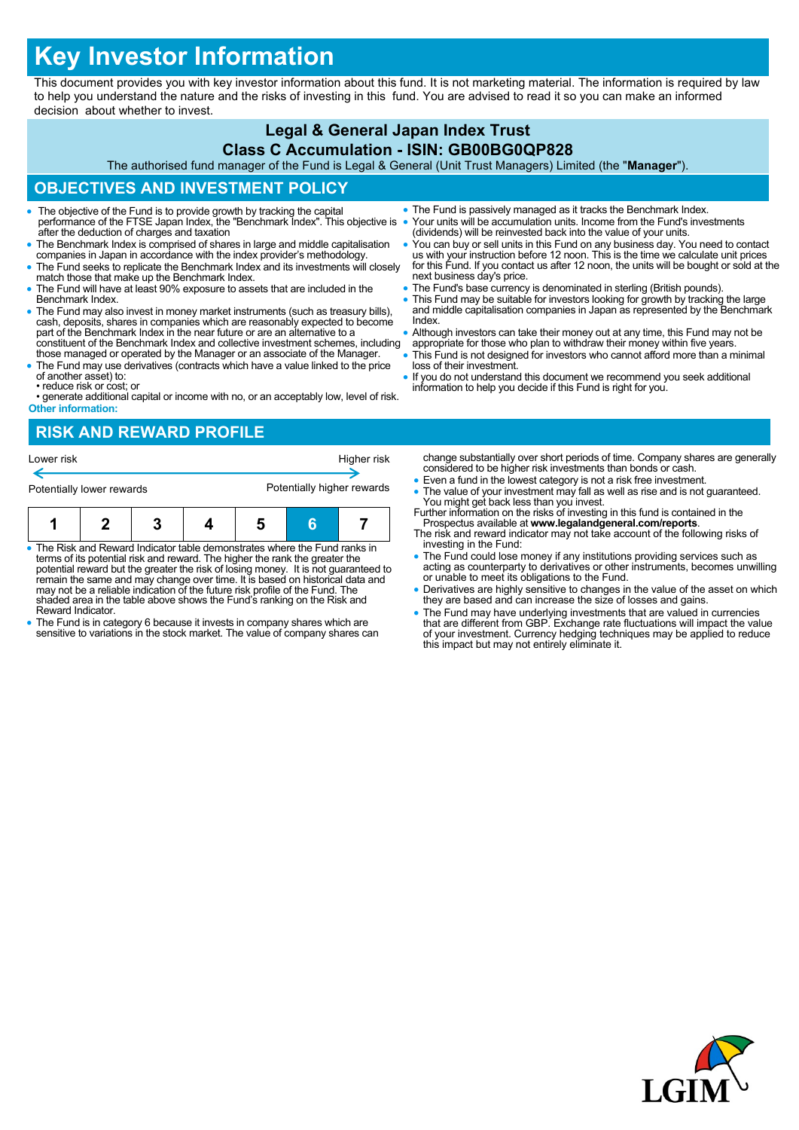# **Key Investor Information**

This document provides you with key investor information about this fund. It is not marketing material. The information is required by law to help you understand the nature and the risks of investing in this fund. You are advised to read it so you can make an informed decision about whether to invest.

## **Legal & General Japan Index Trust**

#### **Class C Accumulation - ISIN: GB00BG0QP828**

The authorised fund manager of the Fund is Legal & General (Unit Trust Managers) Limited (the "**Manager**").

### **OBJECTIVES AND INVESTMENT POLICY**

- The objective of the Fund is to provide growth by tracking the capital performance of the FTSE Japan Index, the "Benchmark Index". This objective is after the deduction of charges and taxation
- The Benchmark Index is comprised of shares in large and middle capitalisation companies in Japan in accordance with the index provider's methodology.
- The Fund seeks to replicate the Benchmark Index and its investments will closely match those that make up the Benchmark Index.
- The Fund will have at least 90% exposure to assets that are included in the Benchmark Index.
- The Fund may also invest in money market instruments (such as treasury bills), cash, deposits, shares in companies which are reasonably expected to become part of the Benchmark Index in the near future or are an alternative to a constituent of the Benchmark Index and collective investment schemes, including
- those managed or operated by the Manager or an associate of the Manager. The Fund may use derivatives (contracts which have a value linked to the price
- of another asset) to: • reduce risk or cost; or
- generate additional capital or income with no, or an acceptably low, level of risk. **Other information:**

#### **RISK AND REWARD PROFILE**

| Lower risk                |  |  |  |                            |  | Higher risk |
|---------------------------|--|--|--|----------------------------|--|-------------|
| Potentially lower rewards |  |  |  | Potentially higher rewards |  |             |
|                           |  |  |  |                            |  |             |

- The Risk and Reward Indicator table demonstrates where the Fund ranks in terms of its potential risk and reward. The higher the rank the greater the potential reward but the greater the risk of losing money. It is not guaranteed to remain the same and may change over time. It is based on historical data and may not be a reliable indication of the future risk profile of the Fund. The shaded area in the table above shows the Fund's ranking on the Risk and Reward Indicator.
- The Fund is in category 6 because it invests in company shares which are sensitive to variations in the stock market. The value of company shares can
- The Fund is passively managed as it tracks the Benchmark Index. Your units will be accumulation units. Income from the Fund's investments (dividends) will be reinvested back into the value of your units.
- You can buy or sell units in this Fund on any business day. You need to contact us with your instruction before 12 noon. This is the time we calculate unit prices for this Fund. If you contact us after 12 noon, the units will be bought or sold at the next business day's price.
- The Fund's base currency is denominated in sterling (British pounds).
- This Fund may be suitable for investors looking for growth by tracking the large and middle capitalisation companies in Japan as represented by the Benchmark Index.
- Although investors can take their money out at any time, this Fund may not be appropriate for those who plan to withdraw their money within five years.
- This Fund is not designed for investors who cannot afford more than a minimal loss of their investment.
- If you do not understand this document we recommend you seek additional information to help you decide if this Fund is right for you.

change substantially over short periods of time. Company shares are generally considered to be higher risk investments than bonds or cash.

- Even a fund in the lowest category is not a risk free investment.
- The value of your investment may fall as well as rise and is not guaranteed. You might get back less than you invest. Further information on the risks of investing in this fund is contained in the
- Prospectus available at **www.legalandgeneral.com/reports**. The risk and reward indicator may not take account of the following risks of
- investing in the Fund: The Fund could lose money if any institutions providing services such as acting as counterparty to derivatives or other instruments, becomes unwilling or unable to meet its obligations to the Fund.
- Derivatives are highly sensitive to changes in the value of the asset on which they are based and can increase the size of losses and gains.
- The Fund may have underlying investments that are valued in currencies<br>that are different from GBP. Exchange rate fluctuations will impact the value<br>of your investment. Currency hedging techniques may be applied to reduc